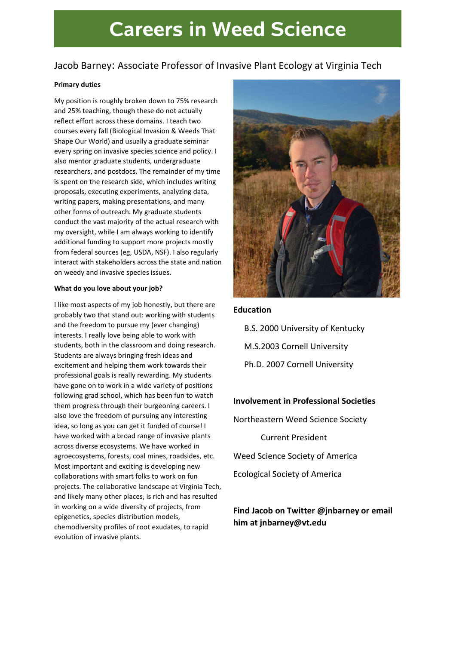# **Careers in Weed Science**

# Jacob Barney: Associate Professor of Invasive Plant Ecology at Virginia Tech

#### Primary duties

My position is roughly broken down to 75% research and 25% teaching, though these do not actually reflect effort across these domains. I teach two courses every fall (Biological Invasion & Weeds That Shape Our World) and usually a graduate seminar every spring on invasive species science and policy. I also mentor graduate students, undergraduate researchers, and postdocs. The remainder of my time is spent on the research side, which includes writing proposals, executing experiments, analyzing data, writing papers, making presentations, and many other forms of outreach. My graduate students conduct the vast majority of the actual research with my oversight, while I am always working to identify additional funding to support more projects mostly from federal sources (eg, USDA, NSF). I also regularly interact with stakeholders across the state and nation on weedy and invasive species issues.

#### What do you love about your job?

I like most aspects of my job honestly, but there are probably two that stand out: working with students and the freedom to pursue my (ever changing) interests. I really love being able to work with students, both in the classroom and doing research. Students are always bringing fresh ideas and excitement and helping them work towards their professional goals is really rewarding. My students have gone on to work in a wide variety of positions following grad school, which has been fun to watch them progress through their burgeoning careers. I also love the freedom of pursuing any interesting idea, so long as you can get it funded of course! I have worked with a broad range of invasive plants across diverse ecosystems. We have worked in agroecosystems, forests, coal mines, roadsides, etc. Most important and exciting is developing new collaborations with smart folks to work on fun projects. The collaborative landscape at Virginia Tech, and likely many other places, is rich and has resulted in working on a wide diversity of projects, from epigenetics, species distribution models, chemodiversity profiles of root exudates, to rapid evolution of invasive plants.



## Education

B.S. 2000 University of Kentucky M.S.2003 Cornell University Ph.D. 2007 Cornell University

## Involvement in Professional Societies

Northeastern Weed Science Society

Current President

Weed Science Society of America

Ecological Society of America

# Find Jacob on Twitter @jnbarney or email him at jnbarney@vt.edu